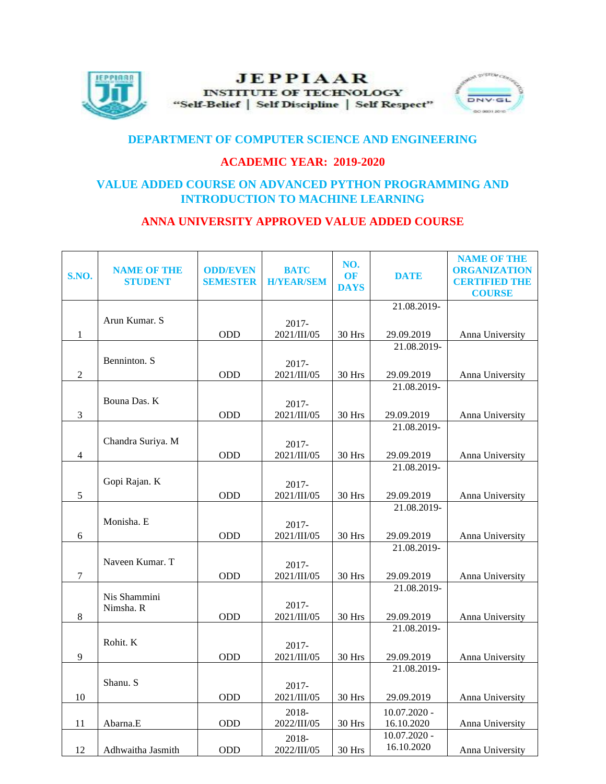

# **JEPPIAAR INSTITUTE OF TECHNOLOGY** "Self-Belief | Self Discipline | Self Respect"



# **DEPARTMENT OF COMPUTER SCIENCE AND ENGINEERING**

### **ACADEMIC YEAR: 2019-2020**

### **VALUE ADDED COURSE ON ADVANCED PYTHON PROGRAMMING AND INTRODUCTION TO MACHINE LEARNING**

### **ANNA UNIVERSITY APPROVED VALUE ADDED COURSE**

| S.NO.        | <b>NAME OF THE</b><br>STUDENT | <b>ODD/EVEN</b><br><b>SEMESTER</b> | <b>BATC</b><br><b>H/YEAR/SEM</b> | NO.<br>OF<br><b>DAYS</b> | <b>DATE</b>                  | <b>NAME OF THE</b><br><b>ORGANIZATION</b><br><b>CERTIFIED THE</b><br><b>COURSE</b> |
|--------------|-------------------------------|------------------------------------|----------------------------------|--------------------------|------------------------------|------------------------------------------------------------------------------------|
|              |                               |                                    |                                  |                          | 21.08.2019-                  |                                                                                    |
| $\mathbf{1}$ | Arun Kumar. S                 | ODD                                | 2017-<br>2021/III/05             | 30 Hrs                   | 29.09.2019                   | Anna University                                                                    |
|              |                               |                                    |                                  |                          | 21.08.2019-                  |                                                                                    |
| $\sqrt{2}$   | Benninton. S                  | ODD                                | 2017-<br>2021/III/05             | 30 Hrs                   | 29.09.2019                   | Anna University                                                                    |
|              |                               |                                    |                                  |                          | 21.08.2019-                  |                                                                                    |
| $\sqrt{3}$   | Bouna Das. K                  | ODD                                | 2017-<br>2021/III/05             | 30 Hrs                   | 29.09.2019                   | Anna University                                                                    |
|              |                               |                                    |                                  |                          | 21.08.2019-                  |                                                                                    |
| 4            | Chandra Suriya. M             | <b>ODD</b>                         | $2017 -$<br>2021/III/05          | 30 Hrs                   | 29.09.2019                   | Anna University                                                                    |
|              |                               |                                    |                                  |                          | 21.08.2019-                  |                                                                                    |
|              | Gopi Rajan. K                 |                                    | 2017-                            |                          |                              |                                                                                    |
| $\sqrt{5}$   |                               | ODD                                | 2021/III/05                      | 30 Hrs                   | 29.09.2019                   | Anna University                                                                    |
|              |                               |                                    |                                  |                          | 21.08.2019-                  |                                                                                    |
|              | Monisha. E                    |                                    | 2017-                            |                          |                              |                                                                                    |
| 6            |                               | ODD                                | 2021/III/05                      | 30 Hrs                   | 29.09.2019<br>21.08.2019-    | Anna University                                                                    |
|              | Naveen Kumar. T               |                                    |                                  |                          |                              |                                                                                    |
| $\tau$       |                               | ODD                                | 2017-<br>2021/III/05             | 30 Hrs                   | 29.09.2019                   | Anna University                                                                    |
|              |                               |                                    |                                  |                          | 21.08.2019-                  |                                                                                    |
|              | Nis Shammini<br>Nimsha. R     |                                    | $2017 -$                         |                          |                              |                                                                                    |
| $8\,$        |                               | <b>ODD</b>                         | 2021/III/05                      | 30 Hrs                   | 29.09.2019                   | Anna University                                                                    |
|              |                               |                                    |                                  |                          | 21.08.2019-                  |                                                                                    |
|              | Rohit. K                      |                                    | 2017-                            |                          |                              |                                                                                    |
| 9            |                               | ODD                                | 2021/III/05                      | 30 Hrs                   | 29.09.2019                   | Anna University                                                                    |
|              |                               |                                    |                                  |                          | 21.08.2019-                  |                                                                                    |
|              | Shanu. S                      |                                    | $2017 -$                         |                          |                              |                                                                                    |
| 10           |                               | ODD                                | 2021/III/05                      | 30 Hrs                   | 29.09.2019                   | Anna University                                                                    |
|              |                               |                                    | 2018-                            |                          | $10.07.2020 -$               |                                                                                    |
| 11           | Abarna.E                      | ODD                                | 2022/III/05                      | 30 Hrs                   | 16.10.2020<br>$10.07.2020 -$ | Anna University                                                                    |
| 12           | Adhwaitha Jasmith             | ODD                                | 2018-<br>2022/III/05             | $30\ \mathrm{Hrs}$       | 16.10.2020                   | Anna University                                                                    |
|              |                               |                                    |                                  |                          |                              |                                                                                    |